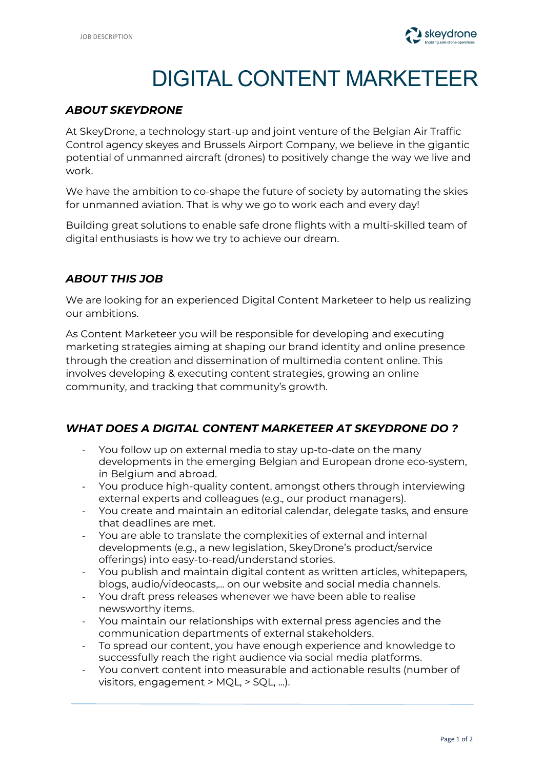

# DIGITAL CONTENT MARKETEER

#### *ABOUT SKEYDRONE*

At SkeyDrone, a technology start-up and joint venture of the Belgian Air Traffic Control agency skeyes and Brussels Airport Company, we believe in the gigantic potential of unmanned aircraft (drones) to positively change the way we live and work.

We have the ambition to co-shape the future of society by automating the skies for unmanned aviation. That is why we go to work each and every day!

Building great solutions to enable safe drone flights with a multi-skilled team of digital enthusiasts is how we try to achieve our dream.

### *ABOUT THIS JOB*

We are looking for an experienced Digital Content Marketeer to help us realizing our ambitions.

As Content Marketeer you will be responsible for developing and executing marketing strategies aiming at shaping our brand identity and online presence through the creation and dissemination of multimedia content online. This involves developing & executing content strategies, growing an online community, and tracking that community's growth.

#### *WHAT DOES A DIGITAL CONTENT MARKETEER AT SKEYDRONE DO ?*

- You follow up on external media to stay up-to-date on the many developments in the emerging Belgian and European drone eco-system, in Belgium and abroad.
- You produce high-quality content, amongst others through interviewing external experts and colleagues (e.g., our product managers).
- You create and maintain an editorial calendar, delegate tasks, and ensure that deadlines are met.
- You are able to translate the complexities of external and internal developments (e.g., a new legislation, SkeyDrone's product/service offerings) into easy-to-read/understand stories.
- You publish and maintain digital content as written articles, whitepapers, blogs, audio/videocasts,… on our website and social media channels.
- You draft press releases whenever we have been able to realise newsworthy items.
- You maintain our relationships with external press agencies and the communication departments of external stakeholders.
- To spread our content, you have enough experience and knowledge to successfully reach the right audience via social media platforms.
- You convert content into measurable and actionable results (number of visitors, engagement > MQL, > SQL, ...).